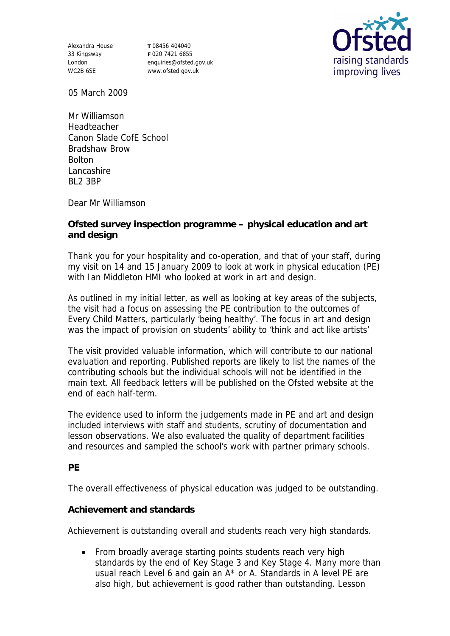Alexandra House 33 Kingsway London WC2B 6SE

**T** 08456 404040 **F** 020 7421 6855 enquiries@ofsted.gov.uk www.ofsted.gov.uk



05 March 2009

Mr Williamson Headteacher Canon Slade CofE School Bradshaw Brow Bolton Lancashire BL2 3BP

Dear Mr Williamson

**Ofsted survey inspection programme – physical education and art and design**

Thank you for your hospitality and co-operation, and that of your staff, during my visit on 14 and 15 January 2009 to look at work in physical education (PE) with Ian Middleton HMI who looked at work in art and design.

As outlined in my initial letter, as well as looking at key areas of the subjects, the visit had a focus on assessing the PE contribution to the outcomes of Every Child Matters, particularly 'being healthy'. The focus in art and design was the impact of provision on students' ability to 'think and act like artists'

The visit provided valuable information, which will contribute to our national evaluation and reporting. Published reports are likely to list the names of the contributing schools but the individual schools will not be identified in the main text. All feedback letters will be published on the Ofsted website at the end of each half-term.

The evidence used to inform the judgements made in PE and art and design included interviews with staff and students, scrutiny of documentation and lesson observations. We also evaluated the quality of department facilities and resources and sampled the school's work with partner primary schools.

**PE**

The overall effectiveness of physical education was judged to be outstanding.

**Achievement and standards** 

Achievement is outstanding overall and students reach very high standards.

• From broadly average starting points students reach very high standards by the end of Key Stage 3 and Key Stage 4. Many more than usual reach Level 6 and gain an A\* or A. Standards in A level PE are also high, but achievement is good rather than outstanding. Lesson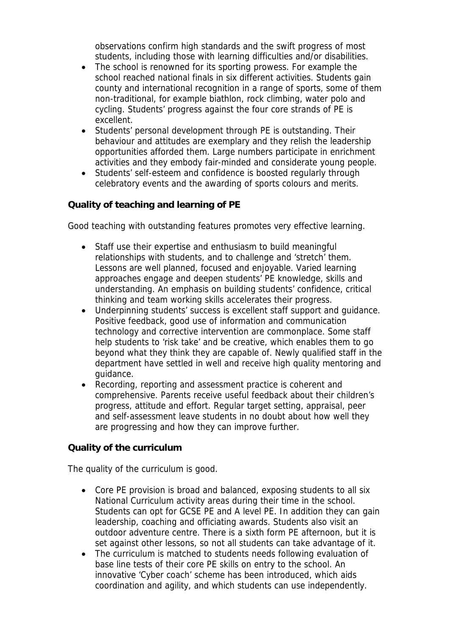observations confirm high standards and the swift progress of most students, including those with learning difficulties and/or disabilities.

- The school is renowned for its sporting prowess. For example the school reached national finals in six different activities. Students gain county and international recognition in a range of sports, some of them non-traditional, for example biathlon, rock climbing, water polo and cycling. Students' progress against the four core strands of PE is excellent.
- Students' personal development through PE is outstanding. Their behaviour and attitudes are exemplary and they relish the leadership opportunities afforded them. Large numbers participate in enrichment activities and they embody fair-minded and considerate young people.
- Students' self-esteem and confidence is boosted regularly through celebratory events and the awarding of sports colours and merits.

## **Quality of teaching and learning of PE**

Good teaching with outstanding features promotes very effective learning.

- Staff use their expertise and enthusiasm to build meaningful relationships with students, and to challenge and 'stretch' them. Lessons are well planned, focused and enjoyable. Varied learning approaches engage and deepen students' PE knowledge, skills and understanding. An emphasis on building students' confidence, critical thinking and team working skills accelerates their progress.
- Underpinning students' success is excellent staff support and guidance. Positive feedback, good use of information and communication technology and corrective intervention are commonplace. Some staff help students to 'risk take' and be creative, which enables them to go beyond what they think they are capable of. Newly qualified staff in the department have settled in well and receive high quality mentoring and guidance.
- Recording, reporting and assessment practice is coherent and comprehensive. Parents receive useful feedback about their children's progress, attitude and effort. Regular target setting, appraisal, peer and self-assessment leave students in no doubt about how well they are progressing and how they can improve further.

## **Quality of the curriculum**

The quality of the curriculum is good.

- Core PE provision is broad and balanced, exposing students to all six National Curriculum activity areas during their time in the school. Students can opt for GCSE PE and A level PE. In addition they can gain leadership, coaching and officiating awards. Students also visit an outdoor adventure centre. There is a sixth form PE afternoon, but it is set against other lessons, so not all students can take advantage of it.
- The curriculum is matched to students needs following evaluation of base line tests of their core PE skills on entry to the school. An innovative 'Cyber coach' scheme has been introduced, which aids coordination and agility, and which students can use independently.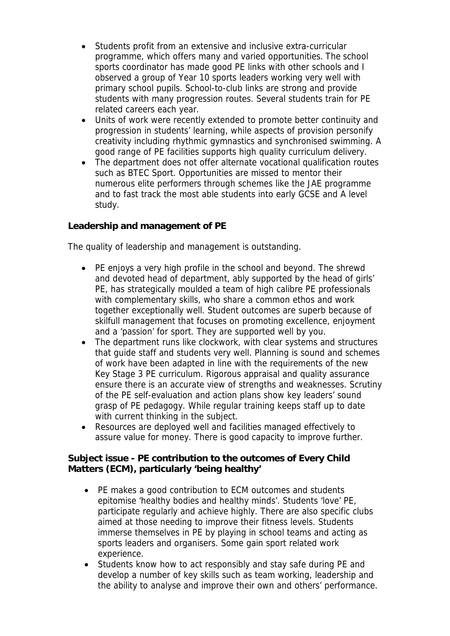- Students profit from an extensive and inclusive extra-curricular programme, which offers many and varied opportunities. The school sports coordinator has made good PE links with other schools and I observed a group of Year 10 sports leaders working very well with primary school pupils. School-to-club links are strong and provide students with many progression routes. Several students train for PE related careers each year.
- Units of work were recently extended to promote better continuity and progression in students' learning, while aspects of provision personify creativity including rhythmic gymnastics and synchronised swimming. A good range of PE facilities supports high quality curriculum delivery.
- The department does not offer alternate vocational qualification routes such as BTEC Sport. Opportunities are missed to mentor their numerous elite performers through schemes like the JAE programme and to fast track the most able students into early GCSE and A level study.

**Leadership and management of PE**

The quality of leadership and management is outstanding.

- PE enjoys a very high profile in the school and beyond. The shrewd and devoted head of department, ably supported by the head of girls' PE, has strategically moulded a team of high calibre PE professionals with complementary skills, who share a common ethos and work together exceptionally well. Student outcomes are superb because of skilfull management that focuses on promoting excellence, enjoyment and a 'passion' for sport. They are supported well by you.
- The department runs like clockwork, with clear systems and structures that guide staff and students very well. Planning is sound and schemes of work have been adapted in line with the requirements of the new Key Stage 3 PE curriculum. Rigorous appraisal and quality assurance ensure there is an accurate view of strengths and weaknesses. Scrutiny of the PE self-evaluation and action plans show key leaders' sound grasp of PE pedagogy. While regular training keeps staff up to date with current thinking in the subject.
- Resources are deployed well and facilities managed effectively to assure value for money. There is good capacity to improve further.

**Subject issue - PE contribution to the outcomes of Every Child Matters (ECM), particularly 'being healthy'**

- PE makes a good contribution to ECM outcomes and students epitomise 'healthy bodies and healthy minds'. Students 'love' PE, participate regularly and achieve highly. There are also specific clubs aimed at those needing to improve their fitness levels. Students immerse themselves in PE by playing in school teams and acting as sports leaders and organisers. Some gain sport related work experience.
- Students know how to act responsibly and stay safe during PE and develop a number of key skills such as team working, leadership and the ability to analyse and improve their own and others' performance.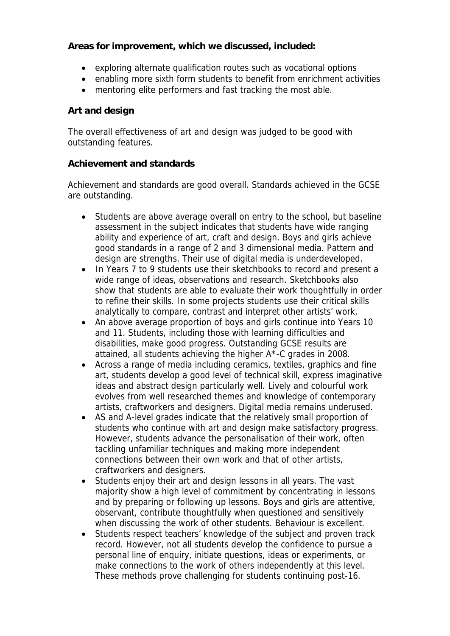**Areas for improvement, which we discussed, included:**

- exploring alternate qualification routes such as vocational options
- enabling more sixth form students to benefit from enrichment activities
- mentoring elite performers and fast tracking the most able.

## **Art and design**

The overall effectiveness of art and design was judged to be good with outstanding features.

## **Achievement and standards**

Achievement and standards are good overall. Standards achieved in the GCSE are outstanding.

- Students are above average overall on entry to the school, but baseline assessment in the subject indicates that students have wide ranging ability and experience of art, craft and design. Boys and girls achieve good standards in a range of 2 and 3 dimensional media. Pattern and design are strengths. Their use of digital media is underdeveloped.
- In Years 7 to 9 students use their sketchbooks to record and present a wide range of ideas, observations and research. Sketchbooks also show that students are able to evaluate their work thoughtfully in order to refine their skills. In some projects students use their critical skills analytically to compare, contrast and interpret other artists' work.
- An above average proportion of boys and girls continue into Years 10 and 11. Students, including those with learning difficulties and disabilities, make good progress. Outstanding GCSE results are attained, all students achieving the higher A\*-C grades in 2008.
- Across a range of media including ceramics, textiles, graphics and fine art, students develop a good level of technical skill, express imaginative ideas and abstract design particularly well. Lively and colourful work evolves from well researched themes and knowledge of contemporary artists, craftworkers and designers. Digital media remains underused.
- AS and A-level grades indicate that the relatively small proportion of students who continue with art and design make satisfactory progress. However, students advance the personalisation of their work, often tackling unfamiliar techniques and making more independent connections between their own work and that of other artists, craftworkers and designers.
- Students enjoy their art and design lessons in all years. The vast majority show a high level of commitment by concentrating in lessons and by preparing or following up lessons. Boys and girls are attentive, observant, contribute thoughtfully when questioned and sensitively when discussing the work of other students. Behaviour is excellent.
- Students respect teachers' knowledge of the subject and proven track record. However, not all students develop the confidence to pursue a personal line of enquiry, initiate questions, ideas or experiments, or make connections to the work of others independently at this level. These methods prove challenging for students continuing post-16.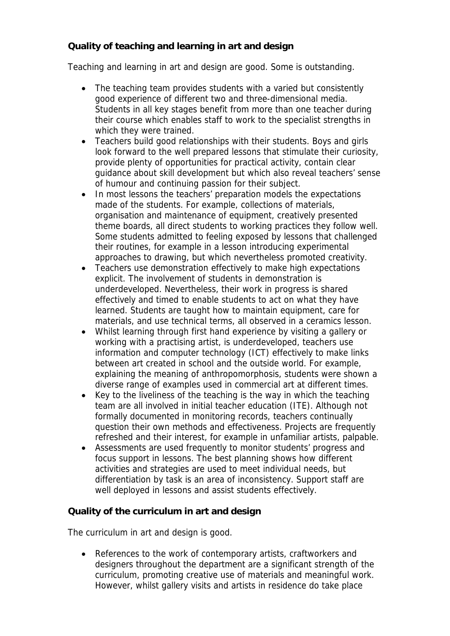**Quality of teaching and learning in art and design**

Teaching and learning in art and design are good. Some is outstanding.

- The teaching team provides students with a varied but consistently good experience of different two and three-dimensional media. Students in all key stages benefit from more than one teacher during their course which enables staff to work to the specialist strengths in which they were trained.
- Teachers build good relationships with their students. Boys and girls look forward to the well prepared lessons that stimulate their curiosity, provide plenty of opportunities for practical activity, contain clear guidance about skill development but which also reveal teachers' sense of humour and continuing passion for their subject.
- In most lessons the teachers' preparation models the expectations made of the students. For example, collections of materials, organisation and maintenance of equipment, creatively presented theme boards, all direct students to working practices they follow well. Some students admitted to feeling exposed by lessons that challenged their routines, for example in a lesson introducing experimental approaches to drawing, but which nevertheless promoted creativity.
- Teachers use demonstration effectively to make high expectations explicit. The involvement of students in demonstration is underdeveloped. Nevertheless, their work in progress is shared effectively and timed to enable students to act on what they have learned. Students are taught how to maintain equipment, care for materials, and use technical terms, all observed in a ceramics lesson.
- Whilst learning through first hand experience by visiting a gallery or working with a practising artist, is underdeveloped, teachers use information and computer technology (ICT) effectively to make links between art created in school and the outside world. For example, explaining the meaning of anthropomorphosis, students were shown a diverse range of examples used in commercial art at different times.
- Key to the liveliness of the teaching is the way in which the teaching team are all involved in initial teacher education (ITE). Although not formally documented in monitoring records, teachers continually question their own methods and effectiveness. Projects are frequently refreshed and their interest, for example in unfamiliar artists, palpable.
- Assessments are used frequently to monitor students' progress and focus support in lessons. The best planning shows how different activities and strategies are used to meet individual needs, but differentiation by task is an area of inconsistency. Support staff are well deployed in lessons and assist students effectively.

**Quality of the curriculum in art and design** 

The curriculum in art and design is good.

• References to the work of contemporary artists, craftworkers and designers throughout the department are a significant strength of the curriculum, promoting creative use of materials and meaningful work. However, whilst gallery visits and artists in residence do take place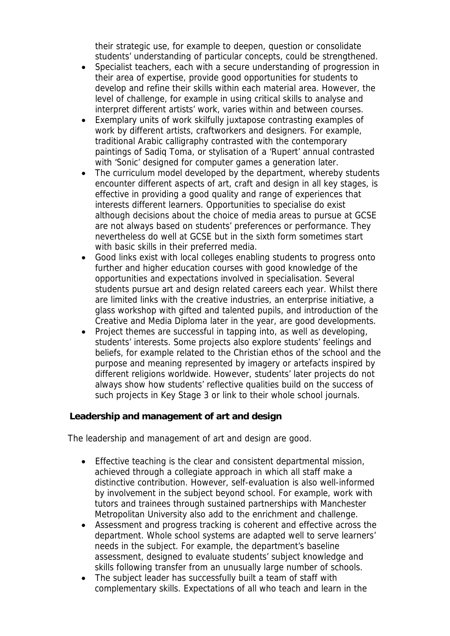their strategic use, for example to deepen, question or consolidate students' understanding of particular concepts, could be strengthened.

- Specialist teachers, each with a secure understanding of progression in their area of expertise, provide good opportunities for students to develop and refine their skills within each material area. However, the level of challenge, for example in using critical skills to analyse and interpret different artists' work, varies within and between courses.
- Exemplary units of work skilfully juxtapose contrasting examples of work by different artists, craftworkers and designers. For example, traditional Arabic calligraphy contrasted with the contemporary paintings of Sadiq Toma, or stylisation of a 'Rupert' annual contrasted with 'Sonic' designed for computer games a generation later.
- The curriculum model developed by the department, whereby students encounter different aspects of art, craft and design in all key stages, is effective in providing a good quality and range of experiences that interests different learners. Opportunities to specialise do exist although decisions about the choice of media areas to pursue at GCSE are not always based on students' preferences or performance. They nevertheless do well at GCSE but in the sixth form sometimes start with basic skills in their preferred media.
- Good links exist with local colleges enabling students to progress onto further and higher education courses with good knowledge of the opportunities and expectations involved in specialisation. Several students pursue art and design related careers each year. Whilst there are limited links with the creative industries, an enterprise initiative, a glass workshop with gifted and talented pupils, and introduction of the Creative and Media Diploma later in the year, are good developments.
- Project themes are successful in tapping into, as well as developing, students' interests. Some projects also explore students' feelings and beliefs, for example related to the Christian ethos of the school and the purpose and meaning represented by imagery or artefacts inspired by different religions worldwide. However, students' later projects do not always show how students' reflective qualities build on the success of such projects in Key Stage 3 or link to their whole school journals.

**Leadership and management of art and design**

The leadership and management of art and design are good.

- Effective teaching is the clear and consistent departmental mission, achieved through a collegiate approach in which all staff make a distinctive contribution. However, self-evaluation is also well-informed by involvement in the subject beyond school. For example, work with tutors and trainees through sustained partnerships with Manchester Metropolitan University also add to the enrichment and challenge.
- Assessment and progress tracking is coherent and effective across the department. Whole school systems are adapted well to serve learners' needs in the subject. For example, the department's baseline assessment, designed to evaluate students' subject knowledge and skills following transfer from an unusually large number of schools.
- The subject leader has successfully built a team of staff with complementary skills. Expectations of all who teach and learn in the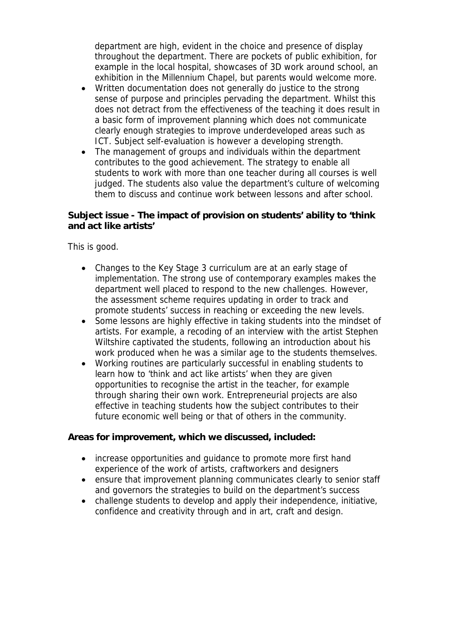department are high, evident in the choice and presence of display throughout the department. There are pockets of public exhibition, for example in the local hospital, showcases of 3D work around school, an exhibition in the Millennium Chapel, but parents would welcome more.

- Written documentation does not generally do justice to the strong sense of purpose and principles pervading the department. Whilst this does not detract from the effectiveness of the teaching it does result in a basic form of improvement planning which does not communicate clearly enough strategies to improve underdeveloped areas such as ICT. Subject self-evaluation is however a developing strength.
- The management of groups and individuals within the department contributes to the good achievement. The strategy to enable all students to work with more than one teacher during all courses is well judged. The students also value the department's culture of welcoming them to discuss and continue work between lessons and after school.

**Subject issue - The impact of provision on students' ability to 'think and act like artists'** 

This is good.

- Changes to the Key Stage 3 curriculum are at an early stage of implementation. The strong use of contemporary examples makes the department well placed to respond to the new challenges. However, the assessment scheme requires updating in order to track and promote students' success in reaching or exceeding the new levels.
- Some lessons are highly effective in taking students into the mindset of artists. For example, a recoding of an interview with the artist Stephen Wiltshire captivated the students, following an introduction about his work produced when he was a similar age to the students themselves.
- Working routines are particularly successful in enabling students to learn how to 'think and act like artists' when they are given opportunities to recognise the artist in the teacher, for example through sharing their own work. Entrepreneurial projects are also effective in teaching students how the subject contributes to their future economic well being or that of others in the community.

**Areas for improvement, which we discussed, included:**

- increase opportunities and quidance to promote more first hand experience of the work of artists, craftworkers and designers
- ensure that improvement planning communicates clearly to senior staff and governors the strategies to build on the department's success
- challenge students to develop and apply their independence, initiative, confidence and creativity through and in art, craft and design.